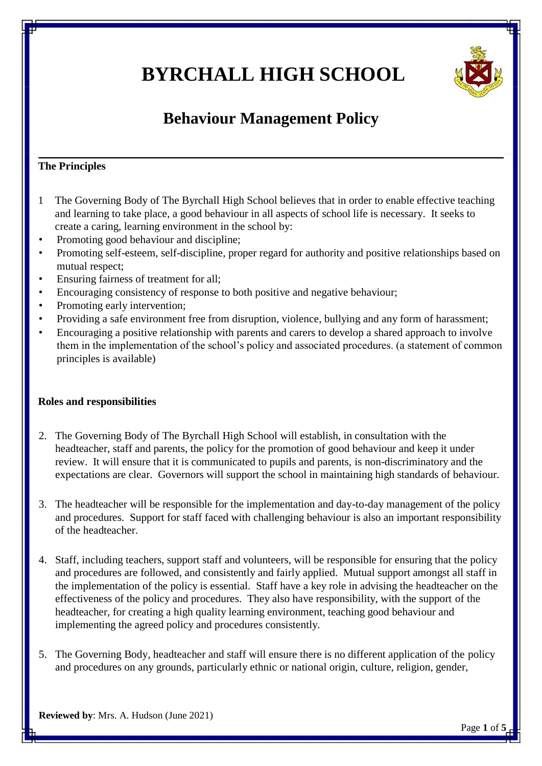# **BYRCHALL HIGH SCHOOL**



# **Behaviour Management Policy**

# **The Principles**

- 1 The Governing Body of The Byrchall High School believes that in order to enable effective teaching and learning to take place, a good behaviour in all aspects of school life is necessary. It seeks to create a caring, learning environment in the school by:
- Promoting good behaviour and discipline;
- Promoting self-esteem, self-discipline, proper regard for authority and positive relationships based on mutual respect;
- Ensuring fairness of treatment for all;
- Encouraging consistency of response to both positive and negative behaviour;
- Promoting early intervention;
- Providing a safe environment free from disruption, violence, bullying and any form of harassment;
- Encouraging a positive relationship with parents and carers to develop a shared approach to involve them in the implementation of the school's policy and associated procedures. (a statement of common principles is available)

#### **Roles and responsibilities**

- 2. The Governing Body of The Byrchall High School will establish, in consultation with the headteacher, staff and parents, the policy for the promotion of good behaviour and keep it under review. It will ensure that it is communicated to pupils and parents, is non-discriminatory and the expectations are clear. Governors will support the school in maintaining high standards of behaviour.
- 3. The headteacher will be responsible for the implementation and day-to-day management of the policy and procedures. Support for staff faced with challenging behaviour is also an important responsibility of the headteacher.
- 4. Staff, including teachers, support staff and volunteers, will be responsible for ensuring that the policy and procedures are followed, and consistently and fairly applied. Mutual support amongst all staff in the implementation of the policy is essential. Staff have a key role in advising the headteacher on the effectiveness of the policy and procedures. They also have responsibility, with the support of the headteacher, for creating a high quality learning environment, teaching good behaviour and implementing the agreed policy and procedures consistently.
- 5. The Governing Body, headteacher and staff will ensure there is no different application of the policy and procedures on any grounds, particularly ethnic or national origin, culture, religion, gender,

**Reviewed by**: Mrs. A. Hudson (June 2021)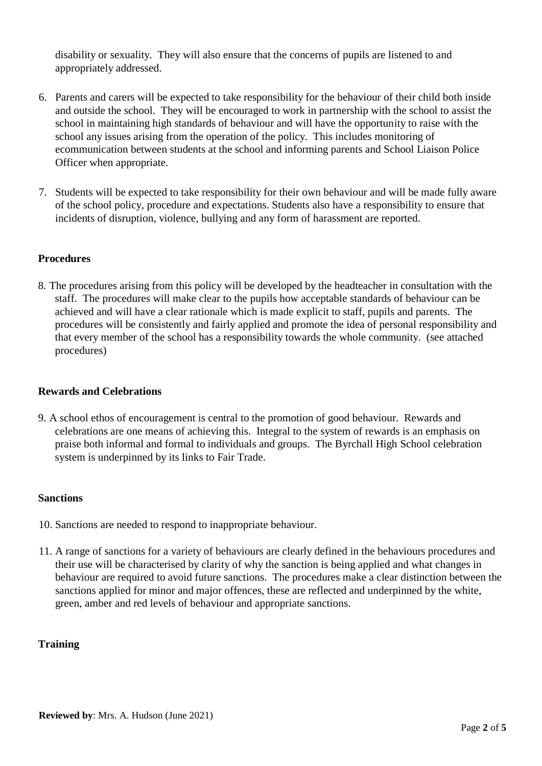disability or sexuality. They will also ensure that the concerns of pupils are listened to and appropriately addressed.

- 6. Parents and carers will be expected to take responsibility for the behaviour of their child both inside and outside the school. They will be encouraged to work in partnership with the school to assist the school in maintaining high standards of behaviour and will have the opportunity to raise with the school any issues arising from the operation of the policy. This includes monitoring of ecommunication between students at the school and informing parents and School Liaison Police Officer when appropriate.
- 7. Students will be expected to take responsibility for their own behaviour and will be made fully aware of the school policy, procedure and expectations. Students also have a responsibility to ensure that incidents of disruption, violence, bullying and any form of harassment are reported.

#### **Procedures**

8. The procedures arising from this policy will be developed by the headteacher in consultation with the staff. The procedures will make clear to the pupils how acceptable standards of behaviour can be achieved and will have a clear rationale which is made explicit to staff, pupils and parents. The procedures will be consistently and fairly applied and promote the idea of personal responsibility and that every member of the school has a responsibility towards the whole community. (see attached procedures)

## **Rewards and Celebrations**

9. A school ethos of encouragement is central to the promotion of good behaviour. Rewards and celebrations are one means of achieving this. Integral to the system of rewards is an emphasis on praise both informal and formal to individuals and groups. The Byrchall High School celebration system is underpinned by its links to Fair Trade.

#### **Sanctions**

- 10. Sanctions are needed to respond to inappropriate behaviour.
- 11. A range of sanctions for a variety of behaviours are clearly defined in the behaviours procedures and their use will be characterised by clarity of why the sanction is being applied and what changes in behaviour are required to avoid future sanctions. The procedures make a clear distinction between the sanctions applied for minor and major offences, these are reflected and underpinned by the white, green, amber and red levels of behaviour and appropriate sanctions.

## **Training**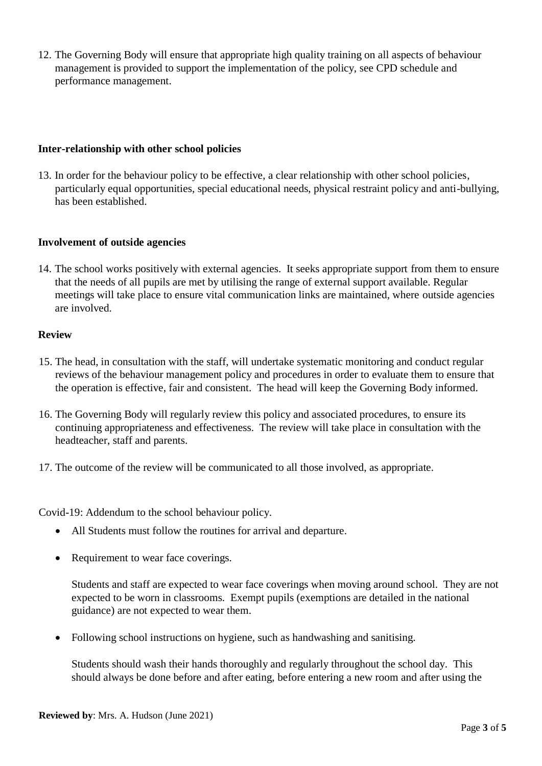12. The Governing Body will ensure that appropriate high quality training on all aspects of behaviour management is provided to support the implementation of the policy, see CPD schedule and performance management.

#### **Inter-relationship with other school policies**

13. In order for the behaviour policy to be effective, a clear relationship with other school policies, particularly equal opportunities, special educational needs, physical restraint policy and anti-bullying, has been established.

#### **Involvement of outside agencies**

14. The school works positively with external agencies. It seeks appropriate support from them to ensure that the needs of all pupils are met by utilising the range of external support available. Regular meetings will take place to ensure vital communication links are maintained, where outside agencies are involved.

#### **Review**

- 15. The head, in consultation with the staff, will undertake systematic monitoring and conduct regular reviews of the behaviour management policy and procedures in order to evaluate them to ensure that the operation is effective, fair and consistent. The head will keep the Governing Body informed.
- 16. The Governing Body will regularly review this policy and associated procedures, to ensure its continuing appropriateness and effectiveness. The review will take place in consultation with the headteacher, staff and parents.
- 17. The outcome of the review will be communicated to all those involved, as appropriate.

Covid-19: Addendum to the school behaviour policy.

- All Students must follow the routines for arrival and departure.
- Requirement to wear face coverings.

Students and staff are expected to wear face coverings when moving around school. They are not expected to be worn in classrooms. Exempt pupils (exemptions are detailed in the national guidance) are not expected to wear them.

Following school instructions on hygiene, such as handwashing and sanitising.

Students should wash their hands thoroughly and regularly throughout the school day. This should always be done before and after eating, before entering a new room and after using the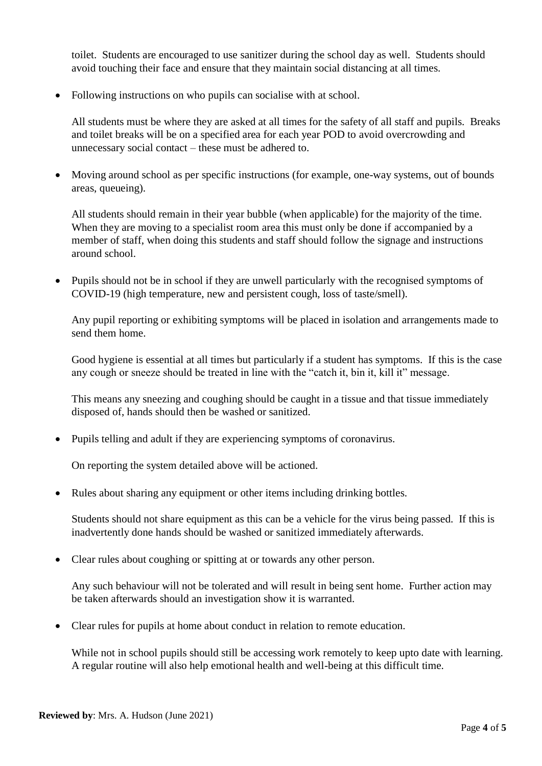toilet. Students are encouraged to use sanitizer during the school day as well. Students should avoid touching their face and ensure that they maintain social distancing at all times.

• Following instructions on who pupils can socialise with at school.

All students must be where they are asked at all times for the safety of all staff and pupils. Breaks and toilet breaks will be on a specified area for each year POD to avoid overcrowding and unnecessary social contact – these must be adhered to.

 Moving around school as per specific instructions (for example, one-way systems, out of bounds areas, queueing).

All students should remain in their year bubble (when applicable) for the majority of the time. When they are moving to a specialist room area this must only be done if accompanied by a member of staff, when doing this students and staff should follow the signage and instructions around school.

• Pupils should not be in school if they are unwell particularly with the recognised symptoms of COVID-19 (high temperature, new and persistent cough, loss of taste/smell).

Any pupil reporting or exhibiting symptoms will be placed in isolation and arrangements made to send them home.

Good hygiene is essential at all times but particularly if a student has symptoms. If this is the case any cough or sneeze should be treated in line with the "catch it, bin it, kill it" message.

This means any sneezing and coughing should be caught in a tissue and that tissue immediately disposed of, hands should then be washed or sanitized.

Pupils telling and adult if they are experiencing symptoms of coronavirus.

On reporting the system detailed above will be actioned.

Rules about sharing any equipment or other items including drinking bottles.

Students should not share equipment as this can be a vehicle for the virus being passed. If this is inadvertently done hands should be washed or sanitized immediately afterwards.

Clear rules about coughing or spitting at or towards any other person.

Any such behaviour will not be tolerated and will result in being sent home. Further action may be taken afterwards should an investigation show it is warranted.

Clear rules for pupils at home about conduct in relation to remote education.

While not in school pupils should still be accessing work remotely to keep upto date with learning. A regular routine will also help emotional health and well-being at this difficult time.